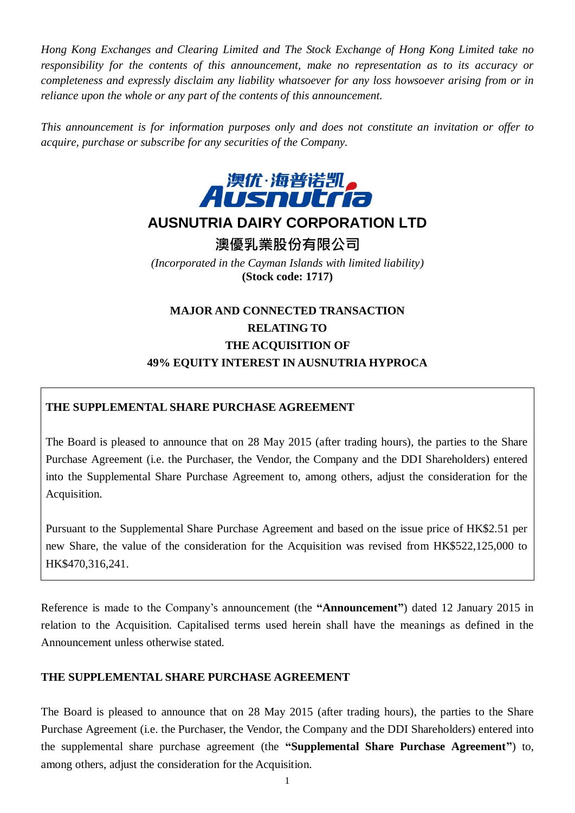*Hong Kong Exchanges and Clearing Limited and The Stock Exchange of Hong Kong Limited take no responsibility for the contents of this announcement, make no representation as to its accuracy or completeness and expressly disclaim any liability whatsoever for any loss howsoever arising from or in reliance upon the whole or any part of the contents of this announcement.*

*This announcement is for information purposes only and does not constitute an invitation or offer to acquire, purchase or subscribe for any securities of the Company.*



# **AUSNUTRIA DAIRY CORPORATION LTD**

**澳優乳業股份有限公司**

*(Incorporated in the Cayman Islands with limited liability)* **(Stock code: 1717)**

# **MAJOR AND CONNECTED TRANSACTION RELATING TO THE ACQUISITION OF 49% EQUITY INTEREST IN AUSNUTRIA HYPROCA**

### **THE SUPPLEMENTAL SHARE PURCHASE AGREEMENT**

The Board is pleased to announce that on 28 May 2015 (after trading hours), the parties to the Share Purchase Agreement (i.e. the Purchaser, the Vendor, the Company and the DDI Shareholders) entered into the Supplemental Share Purchase Agreement to, among others, adjust the consideration for the Acquisition.

Pursuant to the Supplemental Share Purchase Agreement and based on the issue price of HK\$2.51 per new Share, the value of the consideration for the Acquisition was revised from HK\$522,125,000 to HK\$470,316,241.

Reference is made to the Company's announcement (the **"Announcement"**) dated 12 January 2015 in relation to the Acquisition. Capitalised terms used herein shall have the meanings as defined in the Announcement unless otherwise stated.

### **THE SUPPLEMENTAL SHARE PURCHASE AGREEMENT**

The Board is pleased to announce that on 28 May 2015 (after trading hours), the parties to the Share Purchase Agreement (i.e. the Purchaser, the Vendor, the Company and the DDI Shareholders) entered into the supplemental share purchase agreement (the **"Supplemental Share Purchase Agreement"**) to, among others, adjust the consideration for the Acquisition.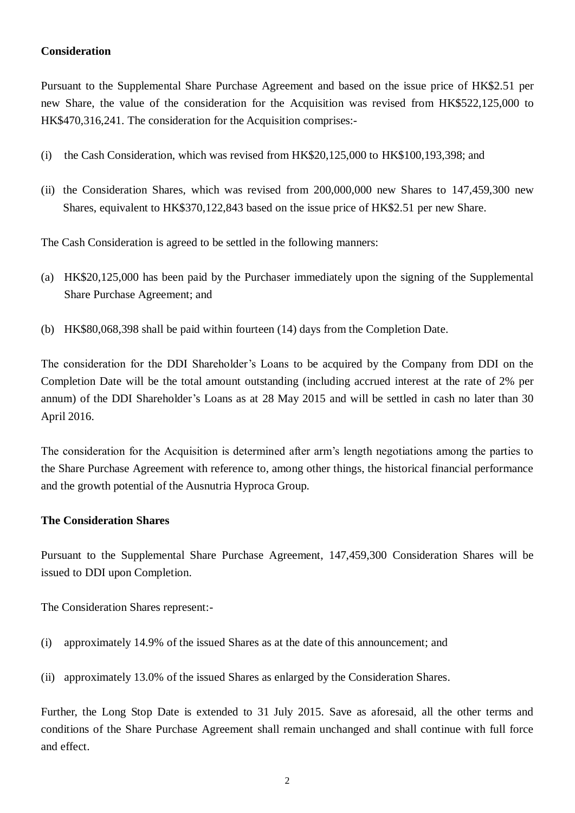#### **Consideration**

Pursuant to the Supplemental Share Purchase Agreement and based on the issue price of HK\$2.51 per new Share, the value of the consideration for the Acquisition was revised from HK\$522,125,000 to HK\$470,316,241. The consideration for the Acquisition comprises:-

- (i) the Cash Consideration, which was revised from HK\$20,125,000 to HK\$100,193,398; and
- (ii) the Consideration Shares, which was revised from 200,000,000 new Shares to 147,459,300 new Shares, equivalent to HK\$370,122,843 based on the issue price of HK\$2.51 per new Share.

The Cash Consideration is agreed to be settled in the following manners:

- (a) HK\$20,125,000 has been paid by the Purchaser immediately upon the signing of the Supplemental Share Purchase Agreement; and
- (b) HK\$80,068,398 shall be paid within fourteen (14) days from the Completion Date.

The consideration for the DDI Shareholder's Loans to be acquired by the Company from DDI on the Completion Date will be the total amount outstanding (including accrued interest at the rate of 2% per annum) of the DDI Shareholder's Loans as at 28 May 2015 and will be settled in cash no later than 30 April 2016.

The consideration for the Acquisition is determined after arm's length negotiations among the parties to the Share Purchase Agreement with reference to, among other things, the historical financial performance and the growth potential of the Ausnutria Hyproca Group.

#### **The Consideration Shares**

Pursuant to the Supplemental Share Purchase Agreement, 147,459,300 Consideration Shares will be issued to DDI upon Completion.

The Consideration Shares represent:-

(i) approximately 14.9% of the issued Shares as at the date of this announcement; and

(ii) approximately 13.0% of the issued Shares as enlarged by the Consideration Shares.

Further, the Long Stop Date is extended to 31 July 2015. Save as aforesaid, all the other terms and conditions of the Share Purchase Agreement shall remain unchanged and shall continue with full force and effect.